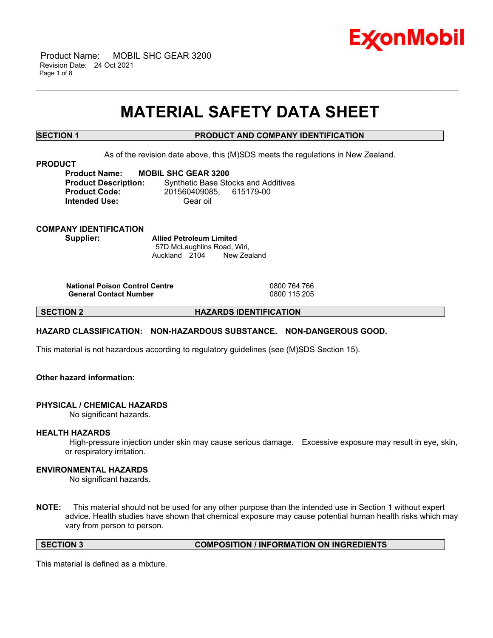

 Product Name: MOBIL SHC GEAR 3200 Revision Date: 24 Oct 2021 Page 1 of 8

# **MATERIAL SAFETY DATA SHEET**

\_\_\_\_\_\_\_\_\_\_\_\_\_\_\_\_\_\_\_\_\_\_\_\_\_\_\_\_\_\_\_\_\_\_\_\_\_\_\_\_\_\_\_\_\_\_\_\_\_\_\_\_\_\_\_\_\_\_\_\_\_\_\_\_\_\_\_\_\_\_\_\_\_\_\_\_\_\_\_\_\_\_\_\_\_\_\_\_\_\_\_\_\_\_\_\_\_\_\_\_\_\_\_\_\_\_\_\_\_\_\_\_\_\_\_\_\_\_

# **SECTION 1 PRODUCT AND COMPANY IDENTIFICATION**

As of the revision date above, this (M)SDS meets the regulations in New Zealand.

#### **PRODUCT**

**Product Name: MOBIL SHC GEAR 3200 Product Description:** Synthetic Base Stocks and Additives **Product Code:** 201560409085, 615179-00 **Intended Use:** Gear oil

#### **COMPANY IDENTIFICATION Supplier: Allied Petroleum Limited**

57D McLaughlins Road, Wiri, Auckland 2104 New Zealand

**National Poison Control Centre** 0800 764 766 **General Contact Number** 

**SECTION 2 HAZARDS IDENTIFICATION**

# **HAZARD CLASSIFICATION: NON-HAZARDOUS SUBSTANCE. NON-DANGEROUS GOOD.**

This material is not hazardous according to regulatory guidelines (see (M)SDS Section 15).

# **Other hazard information:**

#### **PHYSICAL / CHEMICAL HAZARDS**

No significant hazards.

#### **HEALTH HAZARDS**

High-pressure injection under skin may cause serious damage. Excessive exposure may result in eye, skin, or respiratory irritation.

### **ENVIRONMENTAL HAZARDS**

No significant hazards.

**NOTE:** This material should not be used for any other purpose than the intended use in Section 1 without expert advice. Health studies have shown that chemical exposure may cause potential human health risks which may vary from person to person.

**SECTION 3 COMPOSITION / INFORMATION ON INGREDIENTS**

This material is defined as a mixture.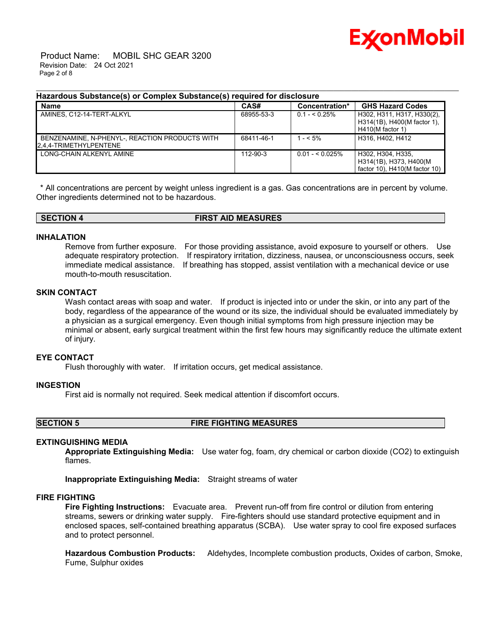

 Product Name: MOBIL SHC GEAR 3200 Revision Date: 24 Oct 2021 Page 2 of 8

### **Hazardous Substance(s) or Complex Substance(s) required for disclosure**

| <b>Name</b>                                                              | CAS#           | Concentration*   | <b>GHS Hazard Codes</b>                                                            |
|--------------------------------------------------------------------------|----------------|------------------|------------------------------------------------------------------------------------|
| AMINES. C12-14-TERT-ALKYL                                                | 68955-53-3     | $0.1 - 5.25\%$   | H302, H311, H317, H330(2),<br>H314(1B), H400(M factor 1),<br>$H410(M$ factor 1)    |
| BENZENAMINE, N-PHENYL-, REACTION PRODUCTS WITH<br>2.4.4-TRIMETHYLPENTENE | 68411-46-1     | $1 - 5\%$        | H316, H402, H412                                                                   |
| LONG-CHAIN ALKENYL AMINE                                                 | $112 - 90 - 3$ | $0.01 - 5.025\%$ | H302, H304, H335.<br>H314(1B), H373, H400(M<br>factor $10$ ), H410(M factor $10$ ) |

\_\_\_\_\_\_\_\_\_\_\_\_\_\_\_\_\_\_\_\_\_\_\_\_\_\_\_\_\_\_\_\_\_\_\_\_\_\_\_\_\_\_\_\_\_\_\_\_\_\_\_\_\_\_\_\_\_\_\_\_\_\_\_\_\_\_\_\_\_\_\_\_\_\_\_\_\_\_\_\_\_\_\_\_\_\_\_\_\_\_\_\_\_\_\_\_\_\_\_\_\_\_\_\_\_\_\_\_\_\_\_\_\_\_\_\_\_\_

\* All concentrations are percent by weight unless ingredient is a gas. Gas concentrations are in percent by volume. Other ingredients determined not to be hazardous.

#### **SECTION 4 FIRST AID MEASURES**

### **INHALATION**

Remove from further exposure. For those providing assistance, avoid exposure to yourself or others. Use adequate respiratory protection. If respiratory irritation, dizziness, nausea, or unconsciousness occurs, seek immediate medical assistance. If breathing has stopped, assist ventilation with a mechanical device or use mouth-to-mouth resuscitation.

# **SKIN CONTACT**

Wash contact areas with soap and water. If product is injected into or under the skin, or into any part of the body, regardless of the appearance of the wound or its size, the individual should be evaluated immediately by a physician as a surgical emergency. Even though initial symptoms from high pressure injection may be minimal or absent, early surgical treatment within the first few hours may significantly reduce the ultimate extent of injury.

#### **EYE CONTACT**

Flush thoroughly with water. If irritation occurs, get medical assistance.

#### **INGESTION**

First aid is normally not required. Seek medical attention if discomfort occurs.

### **SECTION 5 FIRE FIGHTING MEASURES**

### **EXTINGUISHING MEDIA**

**Appropriate Extinguishing Media:** Use water fog, foam, dry chemical or carbon dioxide (CO2) to extinguish flames.

**Inappropriate Extinguishing Media:** Straight streams of water

### **FIRE FIGHTING**

**Fire Fighting Instructions:** Evacuate area. Prevent run-off from fire control or dilution from entering streams, sewers or drinking water supply. Fire-fighters should use standard protective equipment and in enclosed spaces, self-contained breathing apparatus (SCBA). Use water spray to cool fire exposed surfaces and to protect personnel.

**Hazardous Combustion Products:** Aldehydes, Incomplete combustion products, Oxides of carbon, Smoke, Fume, Sulphur oxides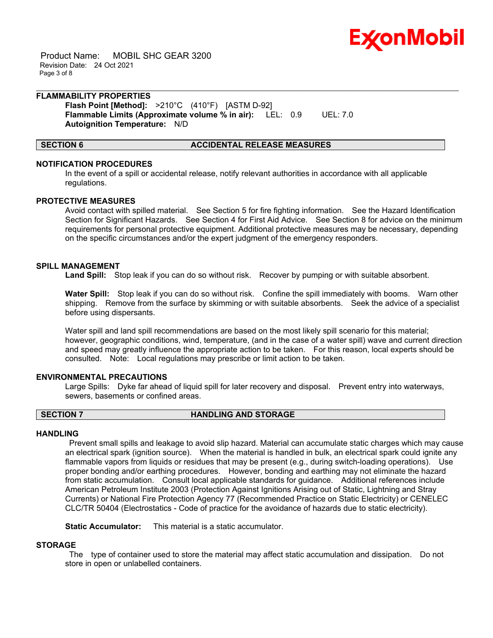

 Product Name: MOBIL SHC GEAR 3200 Revision Date: 24 Oct 2021 Page 3 of 8

### **FLAMMABILITY PROPERTIES Flash Point [Method]:** >210°C (410°F) [ASTM D-92] **Flammable Limits (Approximate volume % in air):** LEL: 0.9 UEL: 7.0

**Autoignition Temperature:** N/D

### **SECTION 6 ACCIDENTAL RELEASE MEASURES**

# **NOTIFICATION PROCEDURES**

In the event of a spill or accidental release, notify relevant authorities in accordance with all applicable regulations.

\_\_\_\_\_\_\_\_\_\_\_\_\_\_\_\_\_\_\_\_\_\_\_\_\_\_\_\_\_\_\_\_\_\_\_\_\_\_\_\_\_\_\_\_\_\_\_\_\_\_\_\_\_\_\_\_\_\_\_\_\_\_\_\_\_\_\_\_\_\_\_\_\_\_\_\_\_\_\_\_\_\_\_\_\_\_\_\_\_\_\_\_\_\_\_\_\_\_\_\_\_\_\_\_\_\_\_\_\_\_\_\_\_\_\_\_\_\_

# **PROTECTIVE MEASURES**

Avoid contact with spilled material. See Section 5 for fire fighting information. See the Hazard Identification Section for Significant Hazards. See Section 4 for First Aid Advice. See Section 8 for advice on the minimum requirements for personal protective equipment. Additional protective measures may be necessary, depending on the specific circumstances and/or the expert judgment of the emergency responders.

# **SPILL MANAGEMENT**

**Land Spill:** Stop leak if you can do so without risk. Recover by pumping or with suitable absorbent.

**Water Spill:** Stop leak if you can do so without risk. Confine the spill immediately with booms. Warn other shipping. Remove from the surface by skimming or with suitable absorbents. Seek the advice of a specialist before using dispersants.

Water spill and land spill recommendations are based on the most likely spill scenario for this material; however, geographic conditions, wind, temperature, (and in the case of a water spill) wave and current direction and speed may greatly influence the appropriate action to be taken. For this reason, local experts should be consulted. Note: Local regulations may prescribe or limit action to be taken.

# **ENVIRONMENTAL PRECAUTIONS**

Large Spills: Dyke far ahead of liquid spill for later recovery and disposal. Prevent entry into waterways, sewers, basements or confined areas.

# **SECTION 7 HANDLING AND STORAGE**

# **HANDLING**

Prevent small spills and leakage to avoid slip hazard. Material can accumulate static charges which may cause an electrical spark (ignition source). When the material is handled in bulk, an electrical spark could ignite any flammable vapors from liquids or residues that may be present (e.g., during switch-loading operations). Use proper bonding and/or earthing procedures. However, bonding and earthing may not eliminate the hazard from static accumulation. Consult local applicable standards for guidance. Additional references include American Petroleum Institute 2003 (Protection Against Ignitions Arising out of Static, Lightning and Stray Currents) or National Fire Protection Agency 77 (Recommended Practice on Static Electricity) or CENELEC CLC/TR 50404 (Electrostatics - Code of practice for the avoidance of hazards due to static electricity).

**Static Accumulator:** This material is a static accumulator.

# **STORAGE**

The type of container used to store the material may affect static accumulation and dissipation. Do not store in open or unlabelled containers.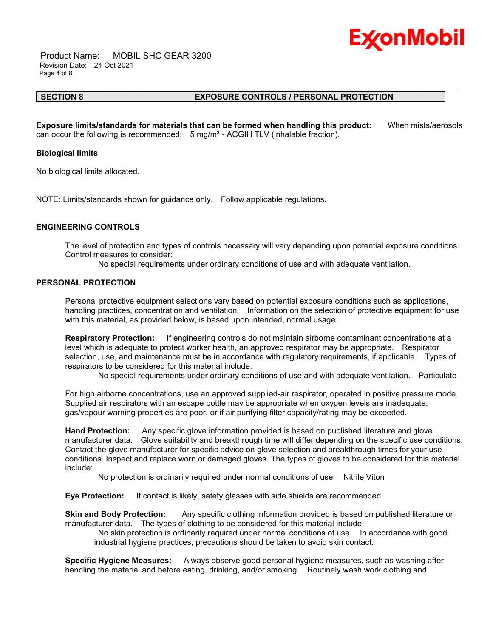

 Product Name: MOBIL SHC GEAR 3200 Revision Date: 24 Oct 2021 Page 4 of 8

#### **SECTION 8 EXPOSURE CONTROLS / PERSONAL PROTECTION**

**Exposure limits/standards for materials that can be formed when handling this product:** When mists/aerosols can occur the following is recommended:  $5 \text{ mg/m}^3$  - ACGIH TLV (inhalable fraction).

\_\_\_\_\_\_\_\_\_\_\_\_\_\_\_\_\_\_\_\_\_\_\_\_\_\_\_\_\_\_\_\_\_\_\_\_\_\_\_\_\_\_\_\_\_\_\_\_\_\_\_\_\_\_\_\_\_\_\_\_\_\_\_\_\_\_\_\_\_\_\_\_\_\_\_\_\_\_\_\_\_\_\_\_\_\_\_\_\_\_\_\_\_\_\_\_\_\_\_\_\_\_\_\_\_\_\_\_\_\_\_\_\_\_\_\_\_\_

#### **Biological limits**

No biological limits allocated.

NOTE: Limits/standards shown for guidance only. Follow applicable regulations.

#### **ENGINEERING CONTROLS**

The level of protection and types of controls necessary will vary depending upon potential exposure conditions. Control measures to consider:

No special requirements under ordinary conditions of use and with adequate ventilation.

### **PERSONAL PROTECTION**

Personal protective equipment selections vary based on potential exposure conditions such as applications, handling practices, concentration and ventilation. Information on the selection of protective equipment for use with this material, as provided below, is based upon intended, normal usage.

**Respiratory Protection:** If engineering controls do not maintain airborne contaminant concentrations at a level which is adequate to protect worker health, an approved respirator may be appropriate. Respirator selection, use, and maintenance must be in accordance with regulatory requirements, if applicable. Types of respirators to be considered for this material include:

No special requirements under ordinary conditions of use and with adequate ventilation. Particulate

For high airborne concentrations, use an approved supplied-air respirator, operated in positive pressure mode. Supplied air respirators with an escape bottle may be appropriate when oxygen levels are inadequate, gas/vapour warning properties are poor, or if air purifying filter capacity/rating may be exceeded.

**Hand Protection:** Any specific glove information provided is based on published literature and glove manufacturer data. Glove suitability and breakthrough time will differ depending on the specific use conditions. Contact the glove manufacturer for specific advice on glove selection and breakthrough times for your use conditions. Inspect and replace worn or damaged gloves. The types of gloves to be considered for this material include:

No protection is ordinarily required under normal conditions of use. Nitrile,Viton

**Eye Protection:** If contact is likely, safety glasses with side shields are recommended.

**Skin and Body Protection:** Any specific clothing information provided is based on published literature or manufacturer data. The types of clothing to be considered for this material include:

No skin protection is ordinarily required under normal conditions of use. In accordance with good industrial hygiene practices, precautions should be taken to avoid skin contact.

**Specific Hygiene Measures:** Always observe good personal hygiene measures, such as washing after handling the material and before eating, drinking, and/or smoking. Routinely wash work clothing and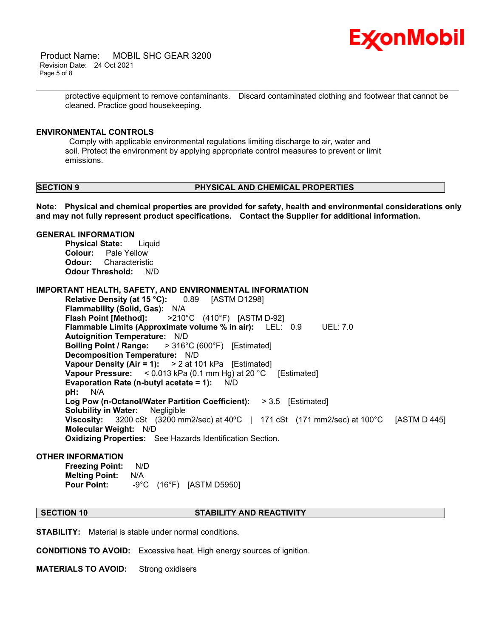

 Product Name: MOBIL SHC GEAR 3200 Revision Date: 24 Oct 2021 Page 5 of 8

> protective equipment to remove contaminants. Discard contaminated clothing and footwear that cannot be cleaned. Practice good housekeeping.

\_\_\_\_\_\_\_\_\_\_\_\_\_\_\_\_\_\_\_\_\_\_\_\_\_\_\_\_\_\_\_\_\_\_\_\_\_\_\_\_\_\_\_\_\_\_\_\_\_\_\_\_\_\_\_\_\_\_\_\_\_\_\_\_\_\_\_\_\_\_\_\_\_\_\_\_\_\_\_\_\_\_\_\_\_\_\_\_\_\_\_\_\_\_\_\_\_\_\_\_\_\_\_\_\_\_\_\_\_\_\_\_\_\_\_\_\_\_

#### **ENVIRONMENTAL CONTROLS**

Comply with applicable environmental regulations limiting discharge to air, water and soil. Protect the environment by applying appropriate control measures to prevent or limit emissions.

#### **SECTION 9 PHYSICAL AND CHEMICAL PROPERTIES**

**Note: Physical and chemical properties are provided for safety, health and environmental considerations only and may not fully represent product specifications. Contact the Supplier for additional information.**

### **GENERAL INFORMATION**

**Physical State:** Liquid **Colour:** Pale Yellow **Odour:** Characteristic **Odour Threshold:** N/D

**IMPORTANT HEALTH, SAFETY, AND ENVIRONMENTAL INFORMATION**

**Relative Density (at 15 °C):** 0.89 [ASTM D1298] **Flammability (Solid, Gas):** N/A **Flash Point [Method]:** >210°C (410°F) [ASTM D-92] **Flammable Limits (Approximate volume % in air):** LEL: 0.9 UEL: 7.0 **Autoignition Temperature:** N/D **Boiling Point / Range:** > 316°C (600°F) [Estimated] **Decomposition Temperature:** N/D **Vapour Density (Air = 1):** > 2 at 101 kPa [Estimated] **Vapour Pressure:** < 0.013 kPa (0.1 mm Hg) at 20 °C [Estimated] **Evaporation Rate (n-butyl acetate = 1):** N/D **pH:** N/A **Log Pow (n-Octanol/Water Partition Coefficient):** > 3.5 [Estimated] **Solubility in Water:** Negligible **Viscosity:** 3200 cSt (3200 mm2/sec) at 40ºC | 171 cSt (171 mm2/sec) at 100°C [ASTM D 445] **Molecular Weight:** N/D **Oxidizing Properties:** See Hazards Identification Section.

### **OTHER INFORMATION**

**Freezing Point:** N/D **Melting Point:** N/A **Pour Point:** -9°C (16°F) [ASTM D5950]

#### **SECTION 10 STABILITY AND REACTIVITY**

**STABILITY:** Material is stable under normal conditions.

**CONDITIONS TO AVOID:** Excessive heat. High energy sources of ignition.

**MATERIALS TO AVOID:** Strong oxidisers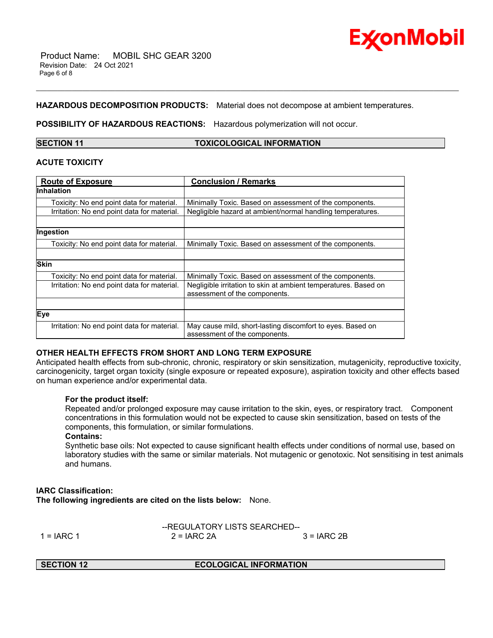

# **HAZARDOUS DECOMPOSITION PRODUCTS:** Material does not decompose at ambient temperatures.

\_\_\_\_\_\_\_\_\_\_\_\_\_\_\_\_\_\_\_\_\_\_\_\_\_\_\_\_\_\_\_\_\_\_\_\_\_\_\_\_\_\_\_\_\_\_\_\_\_\_\_\_\_\_\_\_\_\_\_\_\_\_\_\_\_\_\_\_\_\_\_\_\_\_\_\_\_\_\_\_\_\_\_\_\_\_\_\_\_\_\_\_\_\_\_\_\_\_\_\_\_\_\_\_\_\_\_\_\_\_\_\_\_\_\_\_\_\_

**POSSIBILITY OF HAZARDOUS REACTIONS:** Hazardous polymerization will not occur.

**SECTION 11 TOXICOLOGICAL INFORMATION**

# **ACUTE TOXICITY**

| <b>Route of Exposure</b>                    | <b>Conclusion / Remarks</b>                                     |  |
|---------------------------------------------|-----------------------------------------------------------------|--|
| <b>Inhalation</b>                           |                                                                 |  |
| Toxicity: No end point data for material.   | Minimally Toxic. Based on assessment of the components.         |  |
| Irritation: No end point data for material. | Negligible hazard at ambient/normal handling temperatures.      |  |
|                                             |                                                                 |  |
| Ingestion                                   |                                                                 |  |
| Toxicity: No end point data for material.   | Minimally Toxic. Based on assessment of the components.         |  |
|                                             |                                                                 |  |
| <b>Skin</b>                                 |                                                                 |  |
| Toxicity: No end point data for material.   | Minimally Toxic. Based on assessment of the components.         |  |
| Irritation: No end point data for material. | Negligible irritation to skin at ambient temperatures. Based on |  |
|                                             | assessment of the components.                                   |  |
|                                             |                                                                 |  |
| Eye                                         |                                                                 |  |
| Irritation: No end point data for material. | May cause mild, short-lasting discomfort to eyes. Based on      |  |
|                                             | assessment of the components.                                   |  |

# **OTHER HEALTH EFFECTS FROM SHORT AND LONG TERM EXPOSURE**

Anticipated health effects from sub-chronic, chronic, respiratory or skin sensitization, mutagenicity, reproductive toxicity, carcinogenicity, target organ toxicity (single exposure or repeated exposure), aspiration toxicity and other effects based on human experience and/or experimental data.

# **For the product itself:**

Repeated and/or prolonged exposure may cause irritation to the skin, eyes, or respiratory tract. Component concentrations in this formulation would not be expected to cause skin sensitization, based on tests of the components, this formulation, or similar formulations.

#### **Contains:**

Synthetic base oils: Not expected to cause significant health effects under conditions of normal use, based on laboratory studies with the same or similar materials. Not mutagenic or genotoxic. Not sensitising in test animals and humans.

# **IARC Classification:**

**The following ingredients are cited on the lists below:** None.

|              | --REGULATORY LISTS SEARCHED-- |             |
|--------------|-------------------------------|-------------|
| $1 = IARC 1$ | $2 = IARC 2A$                 | 3 = IARC 2B |
|              |                               |             |

**SECTION 12 ECOLOGICAL INFORMATION**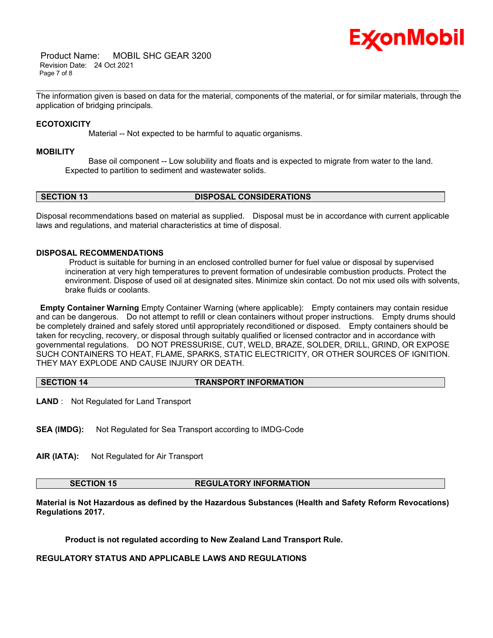

 Product Name: MOBIL SHC GEAR 3200 Revision Date: 24 Oct 2021 Page 7 of 8

\_\_\_\_\_\_\_\_\_\_\_\_\_\_\_\_\_\_\_\_\_\_\_\_\_\_\_\_\_\_\_\_\_\_\_\_\_\_\_\_\_\_\_\_\_\_\_\_\_\_\_\_\_\_\_\_\_\_\_\_\_\_\_\_\_\_\_\_\_\_\_\_\_\_\_\_\_\_\_\_\_\_\_\_\_\_\_\_\_\_\_\_\_\_\_\_\_\_\_\_\_\_\_\_\_\_\_\_\_\_\_\_\_\_\_\_\_\_ The information given is based on data for the material, components of the material, or for similar materials, through the application of bridging principals.

# **ECOTOXICITY**

Material -- Not expected to be harmful to aquatic organisms.

#### **MOBILITY**

 Base oil component -- Low solubility and floats and is expected to migrate from water to the land. Expected to partition to sediment and wastewater solids.

# **SECTION 13 DISPOSAL CONSIDERATIONS**

Disposal recommendations based on material as supplied. Disposal must be in accordance with current applicable laws and regulations, and material characteristics at time of disposal.

### **DISPOSAL RECOMMENDATIONS**

Product is suitable for burning in an enclosed controlled burner for fuel value or disposal by supervised incineration at very high temperatures to prevent formation of undesirable combustion products. Protect the environment. Dispose of used oil at designated sites. Minimize skin contact. Do not mix used oils with solvents, brake fluids or coolants.

**Empty Container Warning** Empty Container Warning (where applicable): Empty containers may contain residue and can be dangerous. Do not attempt to refill or clean containers without proper instructions. Empty drums should be completely drained and safely stored until appropriately reconditioned or disposed. Empty containers should be taken for recycling, recovery, or disposal through suitably qualified or licensed contractor and in accordance with governmental regulations. DO NOT PRESSURISE, CUT, WELD, BRAZE, SOLDER, DRILL, GRIND, OR EXPOSE SUCH CONTAINERS TO HEAT, FLAME, SPARKS, STATIC ELECTRICITY, OR OTHER SOURCES OF IGNITION. THEY MAY EXPLODE AND CAUSE INJURY OR DEATH.

**SECTION 14 TRANSPORT INFORMATION**

**LAND** : Not Regulated for Land Transport

**SEA (IMDG):** Not Regulated for Sea Transport according to IMDG-Code

**AIR (IATA):** Not Regulated for Air Transport

### **SECTION 15 REGULATORY INFORMATION**

**Material is Not Hazardous as defined by the Hazardous Substances (Health and Safety Reform Revocations) Regulations 2017.**

**Product is not regulated according to New Zealand Land Transport Rule.**

**REGULATORY STATUS AND APPLICABLE LAWS AND REGULATIONS**